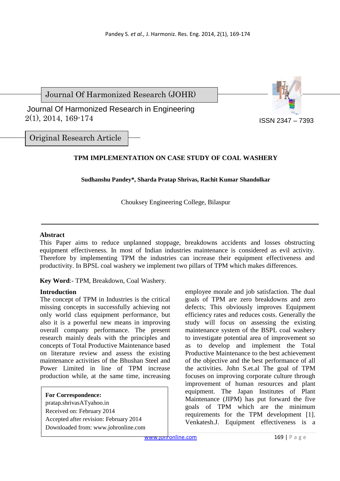Journal Of Harmonized Research (JOHR)

 2(1), 2014, 169-174 Journal Of Harmonized Research in Engineering



Original Research Article

# **TPM IMPLEMENTATION ON CASE STUDY OF COAL WASHERY**

# **Sudhanshu Pandey\*, Sharda Pratap Shrivas, Rachit Kumar Shandolkar**

Chouksey Engineering College, Bilaspur

#### **Abstract**

This Paper aims to reduce unplanned stoppage, breakdowns accidents and losses obstructing equipment effectiveness. In most of Indian industries maintenance is considered as evil activity. Therefore by implementing TPM the industries can increase their equipment effectiveness and productivity. In BPSL coal washery we implement two pillars of TPM which makes differences.

**Key Word**:- TPM, Breakdown, Coal Washery.

# **Introduction**

The concept of TPM in Industries is the critical missing concepts in successfully achieving not only world class equipment performance, but also it is a powerful new means in improving overall company performance. The present research mainly deals with the principles and concepts of Total Productive Maintenance based on literature review and assess the existing maintenance activities of the Bhushan Steel and Power Limited in line of TPM increase production while, at the same time, increasing

**For Correspondence:**  pratap.shrivasATyahoo.in Received on: February 2014 Accepted after revision: February 2014 Downloaded from: www.johronline.com employee morale and job satisfaction. The dual goals of TPM are zero breakdowns and zero defects; This obviously improves Equipment efficiency rates and reduces costs. Generally the study will focus on assessing the existing maintenance system of the BSPL coal washery to investigate potential area of improvement so as to develop and implement the Total Productive Maintenance to the best achievement of the objective and the best performance of all the activities. John S.et.al The goal of TPM focuses on improving corporate culture through improvement of human resources and plant equipment. The Japan Institutes of Plant Maintenance (JIPM) has put forward the five goals of TPM which are the minimum requirements for the TPM development [1]. Venkatesh.J. Equipment effectiveness is a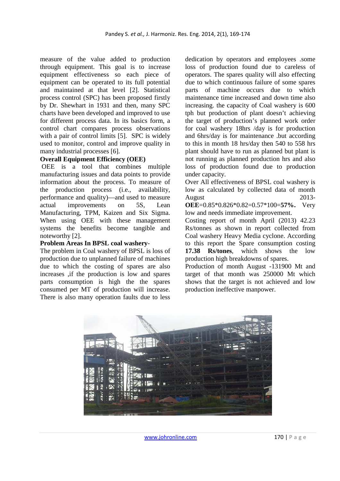measure of the value added to production through equipment. This goal is to increase equipment effectiveness so each piece of equipment can be operated to its full potential and maintained at that level [2]. Statistical process control (SPC) has been proposed firstly by Dr. Shewhart in 1931 and then, many SPC charts have been developed and improved to use for different process data. In its basics form, a control chart compares process observations with a pair of control limits [5]. SPC is widely used to monitor, control and improve quality in many industrial processes [6].

#### **Overall Equipment Efficiency (OEE)**

 OEE is a tool that combines multiple manufacturing issues and data points to provide information about the process. To measure of the production process (i.e., availability, performance and quality)—and used to measure actual improvements on 5S, Lean Manufacturing, TPM, Kaizen and Six Sigma. When using OEE with these management systems the benefits become tangible and noteworthy [2].

#### **Problem Areas In BPSL coal washery**-

The problem in Coal washery of BPSL is loss of production due to unplanned failure of machines due to which the costing of spares are also increases ,if the production is low and spares parts consumption is high the the spares consumed per MT of production will increase. There is also many operation faults due to less

dedication by operators and employees .some loss of production found due to careless of operators. The spares quality will also effecting due to which continuous failure of some spares parts of machine occurs due to which maintenance time increased and down time also increasing. the capacity of Coal washery is 600 tph but production of plant doesn't achieving the target of production's planned work order for coal washery 18hrs /day is for production and 6hrs/day is for maintenance .but according to this in month 18 hrs/day then 540 to 558 hrs plant should have to run as planned but plant is not running as planned production hrs and also loss of production found due to production under capacity.

Over All effectiveness of BPSL coal washery is low as calculated by collected data of month August 2013-

**OEE**=0.85\*0.826\*0.82=0.57\*100=**57%.** Very low and needs immediate improvement.

Costing report of month April (2013) 42.23 Rs/tonnes as shown in report collected from Coal washery Heavy Media cyclone. According to this report the Spare consumption costing **17.38 Rs/tones**, which shows the low production high breakdowns of spares.

Production of month August -131900 Mt and target of that month was 250000 Mt which shows that the target is not achieved and low production ineffective manpower.

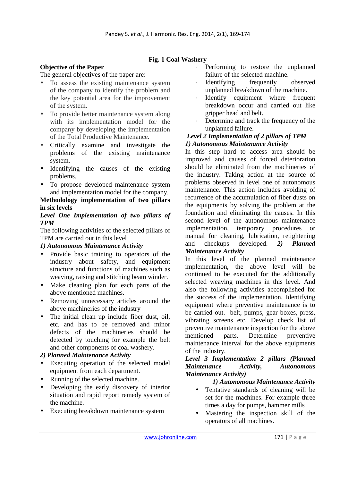**Fig. 1 Coal Washery** 

# **Objective of the Paper**

The general objectives of the paper are:

- To assess the existing maintenance system of the company to identify the problem and the key potential area for the improvement of the system.
- To provide better maintenance system along with its implementation model for the company by developing the implementation of the Total Productive Maintenance.
- Critically examine and investigate the problems of the existing maintenance system.
- Identifying the causes of the existing problems.
- To propose developed maintenance system and implementation model for the company.

# **Methodology implementation of two pillars in six levels**

## *Level One Implementation of two pillars of TPM*

The following activities of the selected pillars of TPM are carried out in this level

# *1) Autonomous Maintenance Activity*

- Provide basic training to operators of the industry about safety, and equipment structure and functions of machines such as weaving, raising and stitching beam winder.
- Make cleaning plan for each parts of the above mentioned machines.
- Removing unnecessary articles around the above machineries of the industry
- The initial clean up include fiber dust, oil, etc. and has to be removed and minor defects of the machineries should be detected by touching for example the belt and other components of coal washery.

# *2) Planned Maintenance Activity*

- Executing operation of the selected model equipment from each department.
- Running of the selected machine.
- Developing the early discovery of interior situation and rapid report remedy system of the machine.
- Executing breakdown maintenance system
- Performing to restore the unplanned failure of the selected machine.
- Identifying frequently observed unplanned breakdown of the machine.
- Identify equipment where frequent breakdown occur and carried out like gripper head and belt.
- Determine and track the frequency of the unplanned failure.

#### *Level 2 Implementation of 2 pillars of TPM 1) Autonomous Maintenance Activity*

In this step hard to access area should be improved and causes of forced deterioration should be eliminated from the machineries of the industry. Taking action at the source of problems observed in level one of autonomous maintenance. This action includes avoiding of recurrence of the accumulation of fiber dusts on the equipments by solving the problem at the foundation and eliminating the causes. In this second level of the autonomous maintenance implementation, temporary procedures or manual for cleaning, lubrication, retightening and checkups developed. *2) Planned Maintenance Activity* 

In this level of the planned maintenance implementation, the above level will be continued to be executed for the additionally selected weaving machines in this level. And also the following activities accomplished for the success of the implementation. Identifying equipment where preventive maintenance is to be carried out. belt, pumps, gear boxes, press, vibrating screens etc. Develop check list of preventive maintenance inspection for the above mentioned parts. Determine preventive maintenance interval for the above equipments of the industry.

## *Level 3 Implementation 2 pillars (Planned Maintenance Activity, Autonomous Maintenance Activity)*

# *1) Autonomous Maintenance Activity*

- Tentative standards of cleaning will be set for the machines. For example three times a day for pumps, hammer mills
- Mastering the inspection skill of the operators of all machines.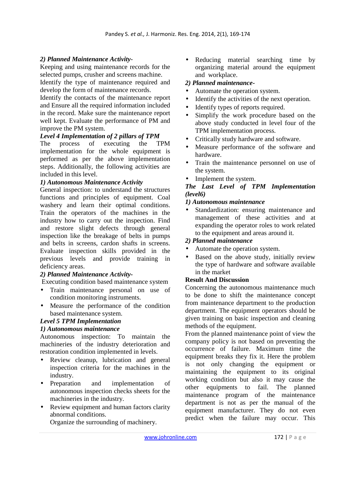# *2) Planned Maintenance Activity-*

Keeping and using maintenance records for the selected pumps, crusher and screens machine.

Identify the type of maintenance required and develop the form of maintenance records.

Identify the contacts of the maintenance report and Ensure all the required information included in the record. Make sure the maintenance report well kept. Evaluate the performance of PM and improve the PM system.

# *Level 4 Implementation of 2 pillars of TPM*

The process of executing the TPM implementation for the whole equipment is performed as per the above implementation steps. Additionally, the following activities are included in this level.

#### *1) Autonomous Maintenance Activity*

General inspection: to understand the structures functions and principles of equipment. Coal washery and learn their optimal conditions. Train the operators of the machines in the industry how to carry out the inspection. Find and restore slight defects through general inspection like the breakage of belts in pumps and belts in screens, cardon shafts in screens. Evaluate inspection skills provided in the previous levels and provide training in deficiency areas.

#### *2) Planned Maintenance Activity-*

Executing condition based maintenance system

- Train maintenance personal on use of condition monitoring instruments.
- Measure the performance of the condition based maintenance system.

# *Level 5 TPM Implementation*

# *1) Autonomous maintenance*

Autonomous inspection: To maintain the machineries of the industry deterioration and restoration condition implemented in levels.

- Review cleanup, lubrication and general inspection criteria for the machines in the industry.
- Preparation and implementation of autonomous inspection checks sheets for the machineries in the industry.
- Review equipment and human factors clarity abnormal conditions.

Organize the surrounding of machinery.

Reducing material searching time by organizing material around the equipment and workplace.

## *2) Planned maintenance-*

- Automate the operation system.
- Identify the activities of the next operation.
- Identify types of reports required.
- Simplify the work procedure based on the above study conducted in level four of the TPM implementation process.
- Critically study hardware and software.
- Measure performance of the software and hardware.
- Train the maintenance personnel on use of the system.
- Implement the system.

# *The Last Level of TPM Implementation (level6)*

#### *1) Autonomous maintenance*

Standardization: ensuring maintenance and management of these activities and at expanding the operator roles to work related to the equipment and areas around it.

## *2) Planned maintenance*

- Automate the operation system.
- Based on the above study, initially review the type of hardware and software available in the market

# **Result And Discussion**

Concerning the autonomous maintenance much to be done to shift the maintenance concept from maintenance department to the production department. The equipment operators should be given training on basic inspection and cleaning methods of the equipment.

From the planned maintenance point of view the company policy is not based on preventing the occurrence of failure. Maximum time the equipment breaks they fix it. Here the problem is not only changing the equipment or maintaining the equipment to its original working condition but also it may cause the other equipments to fail. The planned maintenance program of the maintenance department is not as per the manual of the equipment manufacturer. They do not even predict when the failure may occur. This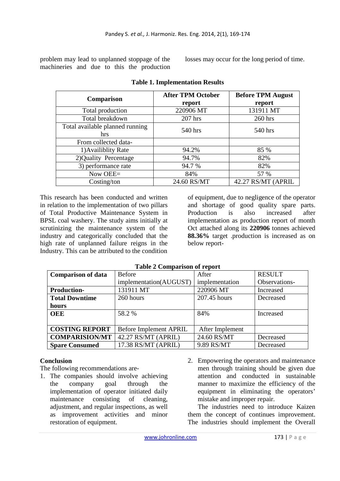problem may lead to unplanned stoppage of the machineries and due to this the production losses may occur for the long period of time.

| Comparison                      | <b>After TPM October</b> | <b>Before TPM August</b> |  |
|---------------------------------|--------------------------|--------------------------|--|
|                                 | report                   | report                   |  |
| Total production                | 220906 MT                | 131911 MT                |  |
| Total breakdown                 | $207$ hrs                | 260 hrs                  |  |
| Total available planned running | 540 hrs                  | 540 hrs                  |  |
| hrs                             |                          |                          |  |
| From collected data-            |                          |                          |  |
| 1) Availiblity Rate             | 94.2%                    | 85 %                     |  |
| 2) Quality Percentage           | 94.7%                    | 82%                      |  |
| 3) performance rate             | 94.7 %                   | 82%                      |  |
| Now OEE=                        | 84%                      | 57 %                     |  |
| Costing/ton                     | 24.60 RS/MT              | 42.27 RS/MT (APRIL       |  |

#### **Table 1. Implementation Results**

This research has been conducted and written in relation to the implementation of two pillars of Total Productive Maintenance System in BPSL coal washery. The study aims initially at scrutinizing the maintenance system of the industry and categorically concluded that the high rate of unplanned failure reigns in the Industry. This can be attributed to the condition

of equipment, due to negligence of the operator and shortage of good quality spare parts. Production is also increased after implementation as production report of month Oct attached along its **220906** tonnes achieved **88.36%** target .production is increased as on below report-

| <b>Table 2 Comparison of report</b> |  |  |  |
|-------------------------------------|--|--|--|
|-------------------------------------|--|--|--|

| <b>Comparison of data</b> | <b>Before</b>                 | After           | <b>RESULT</b> |
|---------------------------|-------------------------------|-----------------|---------------|
|                           | implementation(AUGUST)        | implementation  | Observations- |
| <b>Production-</b>        | 131911 MT                     | 220906 MT       | Increased     |
| <b>Total Downtime</b>     | 260 hours                     | 207.45 hours    | Decreased     |
| hours                     |                               |                 |               |
| <b>OEE</b>                | 58.2 %                        | 84%             | Increased     |
|                           |                               |                 |               |
| <b>COSTING REPORT</b>     | <b>Before Implement APRIL</b> | After Implement |               |
| <b>COMPARISION/MT</b>     | 42.27 RS/MT (APRIL)           | 24.60 RS/MT     | Decreased     |
| <b>Spare Consumed</b>     | 17.38 RS/MT (APRIL)           | 9.89 RS/MT      | Decreased     |

# **Conclusion**

The following recommendations are-

- 1. The companies should involve achieving the company goal through the implementation of operator initiated daily maintenance consisting of cleaning, adjustment, and regular inspections, as well as improvement activities and minor restoration of equipment.
- 2. Empowering the operators and maintenance men through training should be given due attention and conducted in sustainable manner to maximize the efficiency of the equipment in eliminating the operators' mistake and improper repair.

The industries need to introduce Kaizen them the concept of continues improvement. The industries should implement the Overall